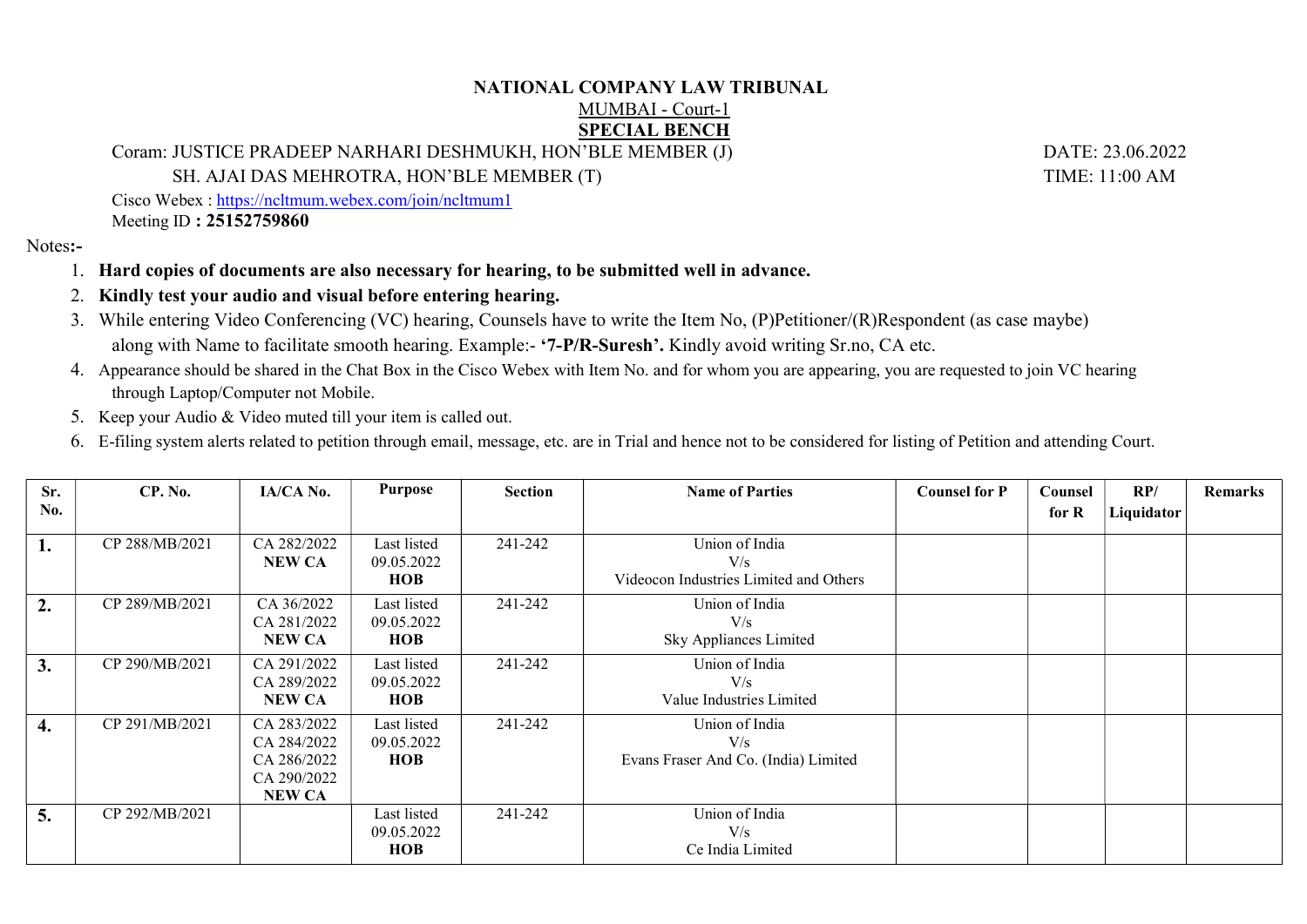## NATIONAL COMPANY LAW TRIBUNAL

## MUMBAI - Court-1 SPECIAL BENCH

Coram: JUSTICE PRADEEP NARHARI DESHMUKH, HON'BLE MEMBER (J) DATE: 23.06.2022

SH. AJAI DAS MEHROTRA, HON'BLE MEMBER (T) TIME: 11:00 AM

Cisco Webex : https://ncltmum.webex.com/join/ncltmum1 Meeting ID : 25152759860

Notes:-

- 1. Hard copies of documents are also necessary for hearing, to be submitted well in advance.
- 2. Kindly test your audio and visual before entering hearing.
- 3. While entering Video Conferencing (VC) hearing, Counsels have to write the Item No, (P)Petitioner/(R)Respondent (as case maybe) along with Name to facilitate smooth hearing. Example:- '7-P/R-Suresh'. Kindly avoid writing Sr.no, CA etc.
- 4. Appearance should be shared in the Chat Box in the Cisco Webex with Item No. and for whom you are appearing, you are requested to join VC hearing through Laptop/Computer not Mobile.
- 5. Keep your Audio & Video muted till your item is called out.
- 6. E-filing system alerts related to petition through email, message, etc. are in Trial and hence not to be considered for listing of Petition and attending Court.

| Sr.<br>No. | CP. No.        | IA/CA No.                                                                 | <b>Purpose</b>                          | <b>Section</b> | <b>Name of Parties</b>                                          | <b>Counsel for P</b> | Counsel<br>for R | RP/<br>Liquidator | <b>Remarks</b> |
|------------|----------------|---------------------------------------------------------------------------|-----------------------------------------|----------------|-----------------------------------------------------------------|----------------------|------------------|-------------------|----------------|
| 1.         | CP 288/MB/2021 | CA 282/2022<br><b>NEW CA</b>                                              | Last listed<br>09.05.2022<br><b>HOB</b> | 241-242        | Union of India<br>V/s<br>Videocon Industries Limited and Others |                      |                  |                   |                |
| 2.         | CP 289/MB/2021 | CA 36/2022<br>CA 281/2022<br><b>NEW CA</b>                                | Last listed<br>09.05.2022<br><b>HOB</b> | 241-242        | Union of India<br>V/s<br>Sky Appliances Limited                 |                      |                  |                   |                |
| 3.         | CP 290/MB/2021 | CA 291/2022<br>CA 289/2022<br><b>NEW CA</b>                               | Last listed<br>09.05.2022<br><b>HOB</b> | 241-242        | Union of India<br>V/s<br>Value Industries Limited               |                      |                  |                   |                |
| 4.         | CP 291/MB/2021 | CA 283/2022<br>CA 284/2022<br>CA 286/2022<br>CA 290/2022<br><b>NEW CA</b> | Last listed<br>09.05.2022<br><b>HOB</b> | 241-242        | Union of India<br>V/s<br>Evans Fraser And Co. (India) Limited   |                      |                  |                   |                |
| 5.         | CP 292/MB/2021 |                                                                           | Last listed<br>09.05.2022<br><b>HOB</b> | 241-242        | Union of India<br>V/s<br>Ce India Limited                       |                      |                  |                   |                |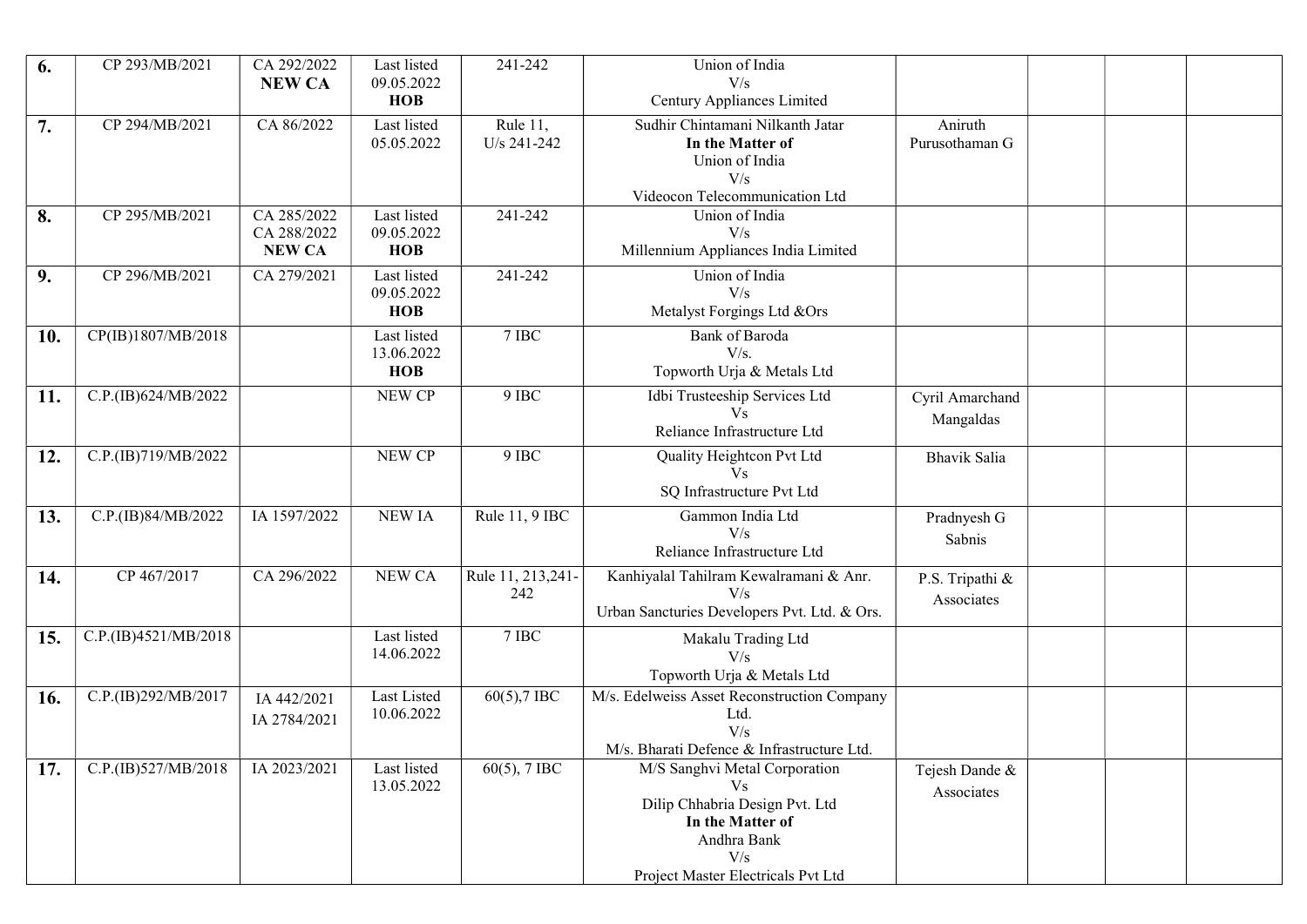| 6.  | CP 293/MB/2021       | CA 292/2022<br><b>NEW CA</b>                | Last listed<br>09.05.2022               | 241-242                   | Union of India<br>V/s                                                                                                                                  |                               |  |  |
|-----|----------------------|---------------------------------------------|-----------------------------------------|---------------------------|--------------------------------------------------------------------------------------------------------------------------------------------------------|-------------------------------|--|--|
|     |                      |                                             | <b>HOB</b>                              |                           | Century Appliances Limited                                                                                                                             |                               |  |  |
| 7.  | CP 294/MB/2021       | CA 86/2022                                  | Last listed<br>05.05.2022               | Rule 11,<br>U/s 241-242   | Sudhir Chintamani Nilkanth Jatar<br>In the Matter of<br>Union of India<br>V/s<br>Videocon Telecommunication Ltd                                        | Aniruth<br>Purusothaman G     |  |  |
| 8.  | CP 295/MB/2021       | CA 285/2022<br>CA 288/2022<br><b>NEW CA</b> | Last listed<br>09.05.2022<br><b>HOB</b> | 241-242                   | Union of India<br>V/s<br>Millennium Appliances India Limited                                                                                           |                               |  |  |
| 9.  | CP 296/MB/2021       | CA 279/2021                                 | Last listed<br>09.05.2022<br><b>HOB</b> | 241-242                   | Union of India<br>V/s<br>Metalyst Forgings Ltd &Ors                                                                                                    |                               |  |  |
| 10. | CP(IB)1807/MB/2018   |                                             | Last listed<br>13.06.2022<br><b>HOB</b> | 7 IBC                     | Bank of Baroda<br>V/s.<br>Topworth Urja & Metals Ltd                                                                                                   |                               |  |  |
| 11. | C.P.(IB)624/MB/2022  |                                             | NEW CP                                  | 9 IBC                     | Idbi Trusteeship Services Ltd<br>V <sub>S</sub><br>Reliance Infrastructure Ltd                                                                         | Cyril Amarchand<br>Mangaldas  |  |  |
| 12. | C.P.(IB)719/MB/2022  |                                             | NEW CP                                  | 9 IBC                     | Quality Heightcon Pvt Ltd<br>V <sub>S</sub><br>SQ Infrastructure Pvt Ltd                                                                               | Bhavik Salia                  |  |  |
| 13. | C.P.(IB)84/MB/2022   | IA 1597/2022                                | <b>NEW IA</b>                           | Rule 11, 9 IBC            | Gammon India Ltd<br>V/s<br>Reliance Infrastructure Ltd                                                                                                 | Pradnyesh G<br>Sabnis         |  |  |
| 14. | CP 467/2017          | CA 296/2022                                 | NEW CA                                  | Rule 11, 213, 241-<br>242 | Kanhiyalal Tahilram Kewalramani & Anr.<br>V/s<br>Urban Sancturies Developers Pvt. Ltd. & Ors.                                                          | P.S. Tripathi &<br>Associates |  |  |
| 15. | C.P.(IB)4521/MB/2018 |                                             | Last listed<br>14.06.2022               | 7 IBC                     | Makalu Trading Ltd<br>V/s<br>Topworth Urja & Metals Ltd                                                                                                |                               |  |  |
| 16. | C.P.(IB)292/MB/2017  | IA 442/2021<br>IA 2784/2021                 | Last Listed<br>10.06.2022               | 60(5),7 IBC               | M/s. Edelweiss Asset Reconstruction Company<br>Ltd.<br>V/s<br>M/s. Bharati Defence & Infrastructure Ltd.                                               |                               |  |  |
| 17. | C.P.(IB)527/MB/2018  | IA 2023/2021                                | Last listed<br>13.05.2022               | $60(5)$ , 7 IBC           | M/S Sanghvi Metal Corporation<br>Vs.<br>Dilip Chhabria Design Pvt. Ltd<br>In the Matter of<br>Andhra Bank<br>V/s<br>Project Master Electricals Pvt Ltd | Tejesh Dande &<br>Associates  |  |  |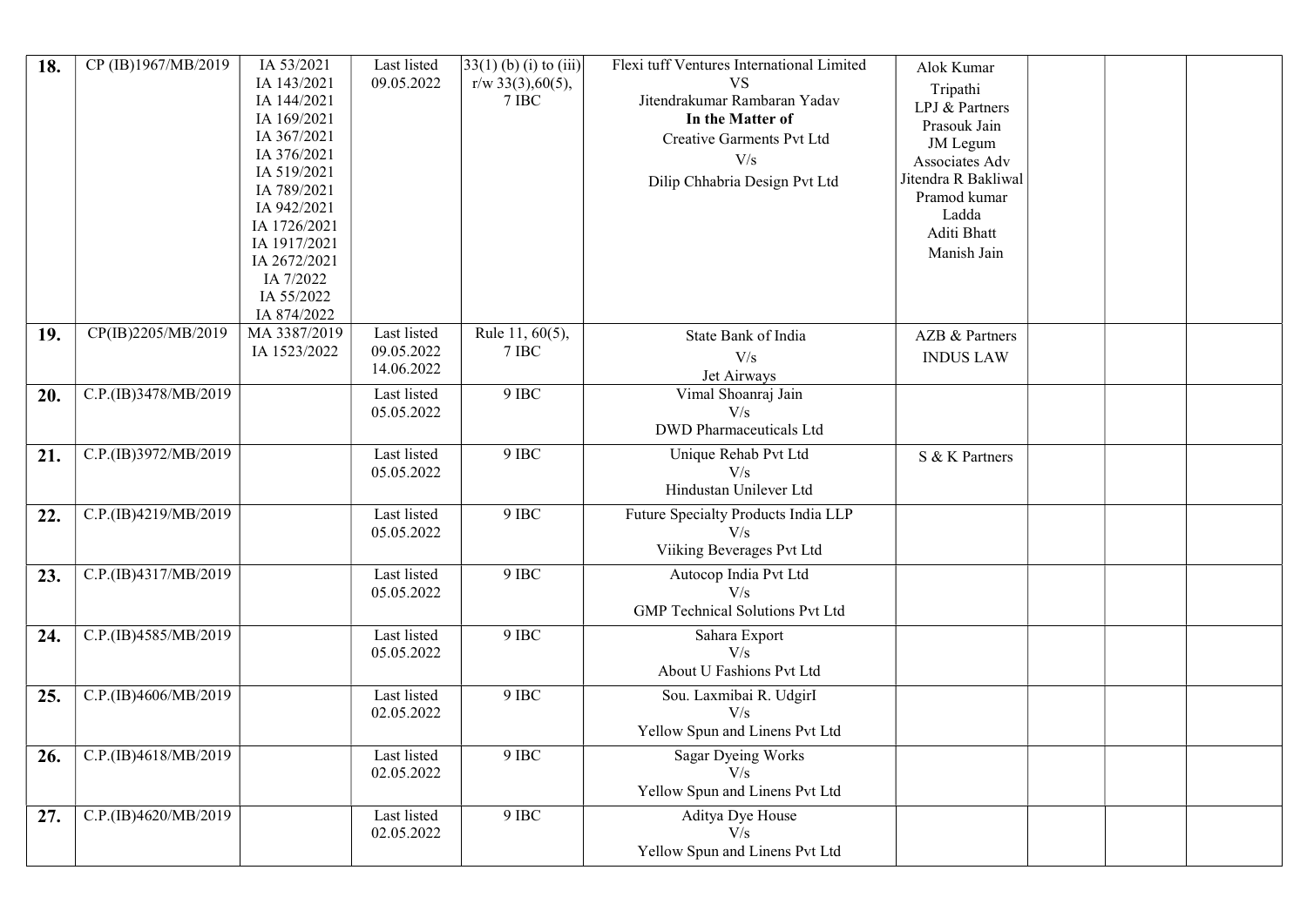| 18. | CP (IB)1967/MB/2019  | IA 53/2021<br>IA 143/2021<br>IA 144/2021<br>IA 169/2021<br>IA 367/2021<br>IA 376/2021<br>IA 519/2021<br>IA 789/2021<br>IA 942/2021<br>IA 1726/2021<br>IA 1917/2021<br>IA 2672/2021<br>IA 7/2022<br>IA 55/2022<br>IA 874/2022 | Last listed<br>09.05.2022               | $33(1)$ (b) (i) to (iii)<br>$r/w$ 33(3), 60(5),<br>$7\:\mathrm{IBC}$ | Flexi tuff Ventures International Limited<br><b>VS</b><br>Jitendrakumar Rambaran Yadav<br>In the Matter of<br>Creative Garments Pvt Ltd<br>V/s<br>Dilip Chhabria Design Pvt Ltd | Alok Kumar<br>Tripathi<br>LPJ & Partners<br>Prasouk Jain<br>JM Legum<br>Associates Adv<br>Jitendra R Bakliwal<br>Pramod kumar<br>Ladda<br>Aditi Bhatt<br>Manish Jain |  |  |
|-----|----------------------|------------------------------------------------------------------------------------------------------------------------------------------------------------------------------------------------------------------------------|-----------------------------------------|----------------------------------------------------------------------|---------------------------------------------------------------------------------------------------------------------------------------------------------------------------------|----------------------------------------------------------------------------------------------------------------------------------------------------------------------|--|--|
| 19. | CP(IB)2205/MB/2019   | MA 3387/2019<br>IA 1523/2022                                                                                                                                                                                                 | Last listed<br>09.05.2022<br>14.06.2022 | Rule $11, 60(5)$ ,<br>7 IBC                                          | State Bank of India<br>V/s<br>Jet Airways                                                                                                                                       | AZB & Partners<br><b>INDUS LAW</b>                                                                                                                                   |  |  |
| 20. | C.P.(IB)3478/MB/2019 |                                                                                                                                                                                                                              | Last listed<br>05.05.2022               | 9 IBC                                                                | Vimal Shoanraj Jain<br>V/s<br><b>DWD</b> Pharmaceuticals Ltd                                                                                                                    |                                                                                                                                                                      |  |  |
| 21. | C.P.(IB)3972/MB/2019 |                                                                                                                                                                                                                              | Last listed<br>05.05.2022               | $9$ IBC                                                              | Unique Rehab Pvt Ltd<br>V/s<br>Hindustan Unilever Ltd                                                                                                                           | S & K Partners                                                                                                                                                       |  |  |
| 22. | C.P.(IB)4219/MB/2019 |                                                                                                                                                                                                                              | Last listed<br>05.05.2022               | 9 IBC                                                                | Future Specialty Products India LLP<br>V/s<br>Viiking Beverages Pvt Ltd                                                                                                         |                                                                                                                                                                      |  |  |
| 23. | C.P.(IB)4317/MB/2019 |                                                                                                                                                                                                                              | Last listed<br>05.05.2022               | $9$ IBC                                                              | Autocop India Pvt Ltd<br>V/s<br><b>GMP</b> Technical Solutions Pvt Ltd                                                                                                          |                                                                                                                                                                      |  |  |
| 24. | C.P.(IB)4585/MB/2019 |                                                                                                                                                                                                                              | Last listed<br>05.05.2022               | $9$ IBC                                                              | Sahara Export<br>V/s<br>About U Fashions Pvt Ltd                                                                                                                                |                                                                                                                                                                      |  |  |
| 25. | C.P.(IB)4606/MB/2019 |                                                                                                                                                                                                                              | Last listed<br>02.05.2022               | 9 IBC                                                                | Sou. Laxmibai R. Udgirl<br>V/s<br>Yellow Spun and Linens Pvt Ltd                                                                                                                |                                                                                                                                                                      |  |  |
| 26. | C.P.(IB)4618/MB/2019 |                                                                                                                                                                                                                              | Last listed<br>02.05.2022               | $9$ IBC                                                              | <b>Sagar Dyeing Works</b><br>V/s<br>Yellow Spun and Linens Pvt Ltd                                                                                                              |                                                                                                                                                                      |  |  |
| 27. | C.P.(IB)4620/MB/2019 |                                                                                                                                                                                                                              | Last listed<br>02.05.2022               | 9 IBC                                                                | Aditya Dye House<br>$\overline{V/s}$<br>Yellow Spun and Linens Pvt Ltd                                                                                                          |                                                                                                                                                                      |  |  |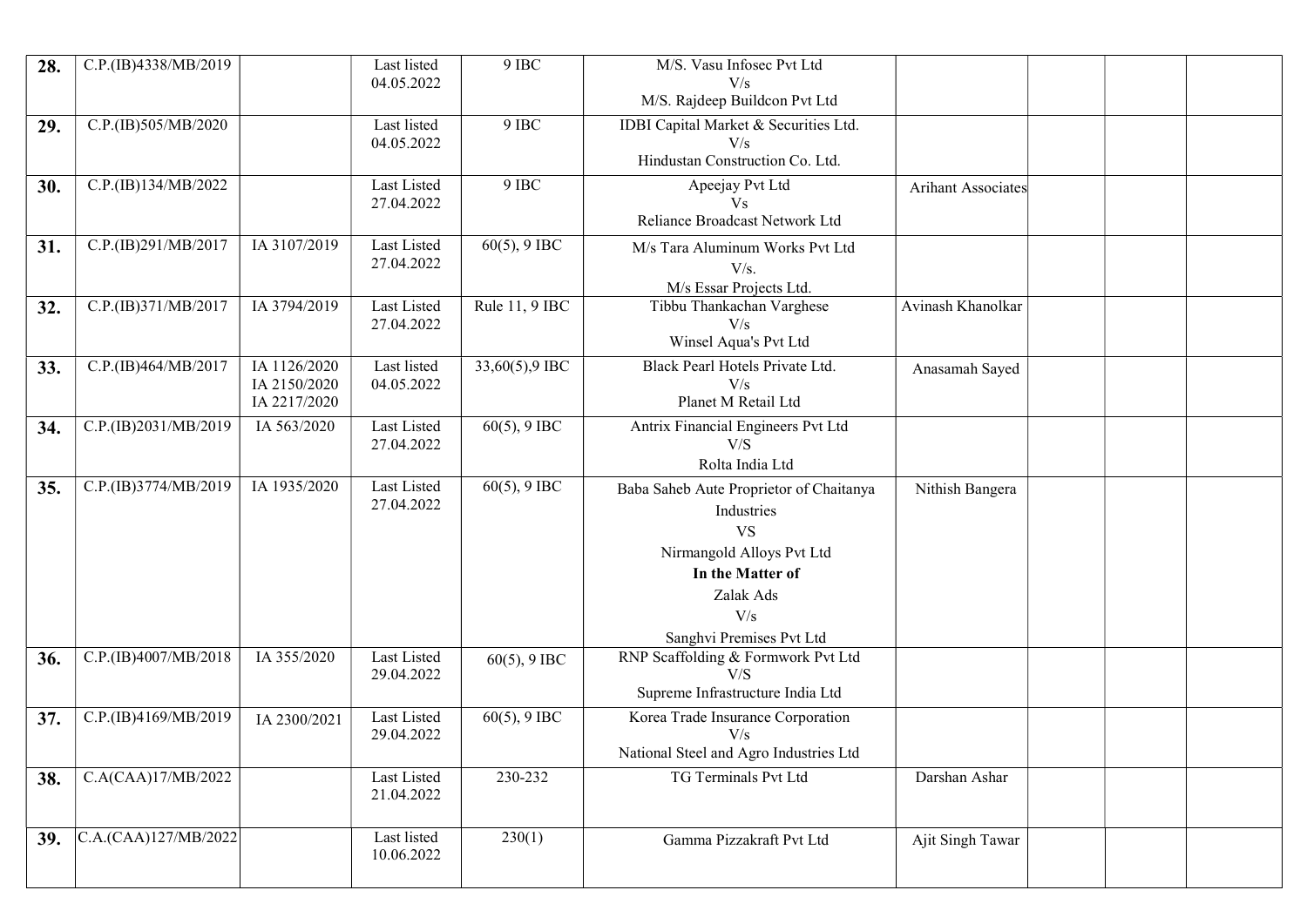| 28. | C.P.(IB)4338/MB/2019 |                                              | Last listed<br>04.05.2022 | 9 IBC           | M/S. Vasu Infosec Pvt Ltd<br>V/s                                                                                                                                    |                    |  |  |
|-----|----------------------|----------------------------------------------|---------------------------|-----------------|---------------------------------------------------------------------------------------------------------------------------------------------------------------------|--------------------|--|--|
|     |                      |                                              |                           |                 | M/S. Rajdeep Buildcon Pvt Ltd                                                                                                                                       |                    |  |  |
| 29. | C.P.(IB)505/MB/2020  |                                              | Last listed<br>04.05.2022 | 9 IBC           | IDBI Capital Market & Securities Ltd.<br>V/s<br>Hindustan Construction Co. Ltd.                                                                                     |                    |  |  |
| 30. | C.P.(IB)134/MB/2022  |                                              | Last Listed<br>27.04.2022 | 9 IBC           | Apeejay Pvt Ltd<br>V <sub>S</sub><br>Reliance Broadcast Network Ltd                                                                                                 | Arihant Associates |  |  |
| 31. | C.P.(IB)291/MB/2017  | IA 3107/2019                                 | Last Listed<br>27.04.2022 | $60(5)$ , 9 IBC | M/s Tara Aluminum Works Pvt Ltd<br>V/s.<br>M/s Essar Projects Ltd.                                                                                                  |                    |  |  |
| 32. | C.P.(IB)371/MB/2017  | IA 3794/2019                                 | Last Listed<br>27.04.2022 | Rule 11, 9 IBC  | Tibbu Thankachan Varghese<br>V/s<br>Winsel Aqua's Pvt Ltd                                                                                                           | Avinash Khanolkar  |  |  |
| 33. | C.P.(IB)464/MB/2017  | IA 1126/2020<br>IA 2150/2020<br>IA 2217/2020 | Last listed<br>04.05.2022 | 33,60(5),9 IBC  | Black Pearl Hotels Private Ltd.<br>V/s<br>Planet M Retail Ltd                                                                                                       | Anasamah Sayed     |  |  |
| 34. | C.P.(IB)2031/MB/2019 | IA 563/2020                                  | Last Listed<br>27.04.2022 | $60(5)$ , 9 IBC | Antrix Financial Engineers Pvt Ltd<br>V/S<br>Rolta India Ltd                                                                                                        |                    |  |  |
| 35. | C.P.(IB)3774/MB/2019 | IA 1935/2020                                 | Last Listed<br>27.04.2022 | $60(5)$ , 9 IBC | Baba Saheb Aute Proprietor of Chaitanya<br>Industries<br><b>VS</b><br>Nirmangold Alloys Pvt Ltd<br>In the Matter of<br>Zalak Ads<br>V/s<br>Sanghvi Premises Pvt Ltd | Nithish Bangera    |  |  |
| 36. | C.P.(IB)4007/MB/2018 | IA 355/2020                                  | Last Listed<br>29.04.2022 | $60(5)$ , 9 IBC | RNP Scaffolding & Formwork Pvt Ltd<br>V/S<br>Supreme Infrastructure India Ltd                                                                                       |                    |  |  |
| 37. | C.P.(IB)4169/MB/2019 | IA 2300/2021                                 | Last Listed<br>29.04.2022 | $60(5)$ , 9 IBC | Korea Trade Insurance Corporation<br>V/s<br>National Steel and Agro Industries Ltd                                                                                  |                    |  |  |
| 38. | C.A(CAA)17/MB/2022   |                                              | Last Listed<br>21.04.2022 | 230-232         | TG Terminals Pvt Ltd                                                                                                                                                | Darshan Ashar      |  |  |
| 39. | C.A.(CAA)127/MB/2022 |                                              | Last listed<br>10.06.2022 | 230(1)          | Gamma Pizzakraft Pvt Ltd                                                                                                                                            | Ajit Singh Tawar   |  |  |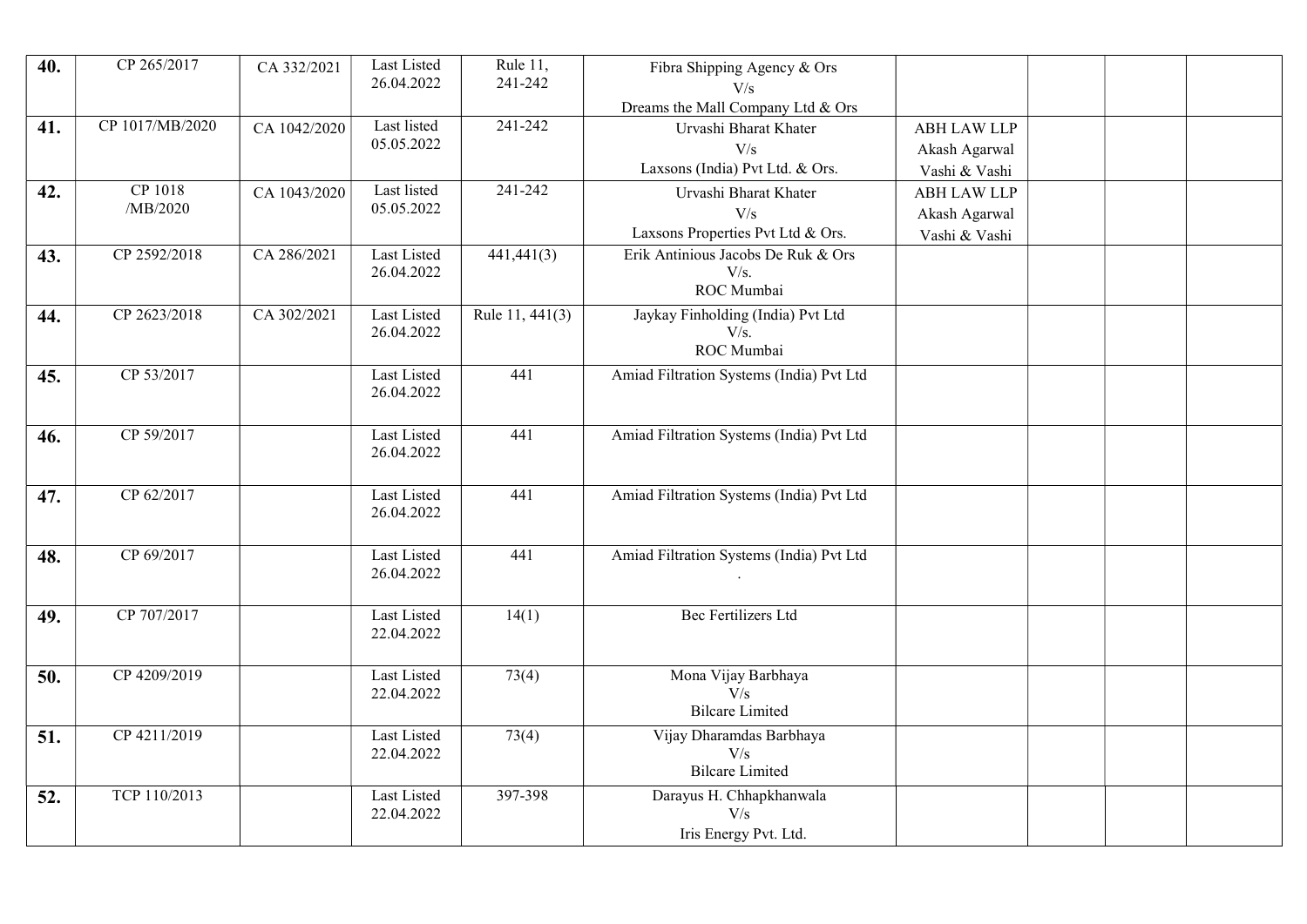| 40. | CP 265/2017     | CA 332/2021  | Last Listed               | Rule 11,          | Fibra Shipping Agency & Ors              |                                |  |  |
|-----|-----------------|--------------|---------------------------|-------------------|------------------------------------------|--------------------------------|--|--|
|     |                 |              | 26.04.2022                | 241-242           | V/s                                      |                                |  |  |
|     |                 |              | Last listed               | 241-242           | Dreams the Mall Company Ltd & Ors        |                                |  |  |
| 41. | CP 1017/MB/2020 | CA 1042/2020 | 05.05.2022                |                   | Urvashi Bharat Khater                    | <b>ABH LAW LLP</b>             |  |  |
|     |                 |              |                           |                   | V/s<br>Laxsons (India) Pvt Ltd. & Ors.   | Akash Agarwal                  |  |  |
| 42. | CP 1018         |              | Last listed               | 241-242           |                                          | Vashi & Vashi                  |  |  |
|     | /MB/2020        | CA 1043/2020 | 05.05.2022                |                   | Urvashi Bharat Khater<br>V/s             | <b>ABH LAW LLP</b>             |  |  |
|     |                 |              |                           |                   | Laxsons Properties Pvt Ltd & Ors.        | Akash Agarwal<br>Vashi & Vashi |  |  |
| 43. | CP 2592/2018    | CA 286/2021  | Last Listed               | 441,441(3)        | Erik Antinious Jacobs De Ruk & Ors       |                                |  |  |
|     |                 |              | 26.04.2022                |                   | V/s.                                     |                                |  |  |
|     |                 |              |                           |                   | ROC Mumbai                               |                                |  |  |
| 44. | CP 2623/2018    | CA 302/2021  | Last Listed               | Rule $11, 441(3)$ | Jaykay Finholding (India) Pvt Ltd        |                                |  |  |
|     |                 |              | 26.04.2022                |                   | V/s.                                     |                                |  |  |
|     |                 |              |                           |                   | ROC Mumbai                               |                                |  |  |
| 45. | CP 53/2017      |              | Last Listed               | 441               | Amiad Filtration Systems (India) Pvt Ltd |                                |  |  |
|     |                 |              | 26.04.2022                |                   |                                          |                                |  |  |
|     | CP 59/2017      |              | Last Listed               | 441               | Amiad Filtration Systems (India) Pvt Ltd |                                |  |  |
| 46. |                 |              | 26.04.2022                |                   |                                          |                                |  |  |
|     |                 |              |                           |                   |                                          |                                |  |  |
| 47. | CP 62/2017      |              | Last Listed               | 441               | Amiad Filtration Systems (India) Pvt Ltd |                                |  |  |
|     |                 |              | 26.04.2022                |                   |                                          |                                |  |  |
|     |                 |              |                           |                   |                                          |                                |  |  |
| 48. | CP 69/2017      |              | Last Listed               | 441               | Amiad Filtration Systems (India) Pvt Ltd |                                |  |  |
|     |                 |              | 26.04.2022                |                   |                                          |                                |  |  |
|     |                 |              |                           |                   |                                          |                                |  |  |
| 49. | CP 707/2017     |              | Last Listed<br>22.04.2022 | 14(1)             | Bec Fertilizers Ltd                      |                                |  |  |
|     |                 |              |                           |                   |                                          |                                |  |  |
| 50. | CP 4209/2019    |              | Last Listed               | 73(4)             | Mona Vijay Barbhaya                      |                                |  |  |
|     |                 |              | 22.04.2022                |                   | V/s                                      |                                |  |  |
|     |                 |              |                           |                   | <b>Bilcare Limited</b>                   |                                |  |  |
| 51. | CP 4211/2019    |              | Last Listed               | 73(4)             | Vijay Dharamdas Barbhaya                 |                                |  |  |
|     |                 |              | 22.04.2022                |                   | V/s                                      |                                |  |  |
|     |                 |              |                           |                   | <b>Bilcare Limited</b>                   |                                |  |  |
| 52. | TCP 110/2013    |              | Last Listed               | 397-398           | Darayus H. Chhapkhanwala                 |                                |  |  |
|     |                 |              |                           |                   |                                          |                                |  |  |
|     |                 |              | 22.04.2022                |                   | V/s<br>Iris Energy Pvt. Ltd.             |                                |  |  |